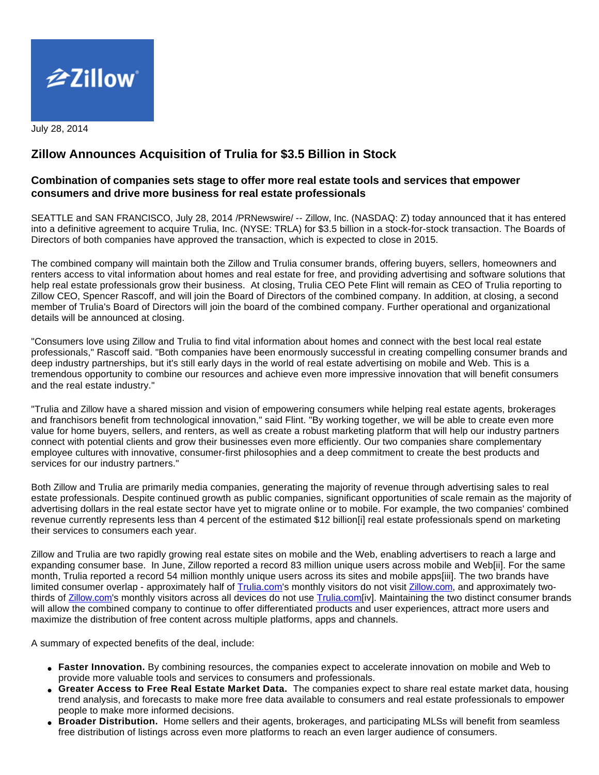

July 28, 2014

# **Zillow Announces Acquisition of Trulia for \$3.5 Billion in Stock**

# **Combination of companies sets stage to offer more real estate tools and services that empower consumers and drive more business for real estate professionals**

SEATTLE and SAN FRANCISCO, July 28, 2014 /PRNewswire/ -- Zillow, Inc. (NASDAQ: Z) today announced that it has entered into a definitive agreement to acquire Trulia, Inc. (NYSE: TRLA) for \$3.5 billion in a stock-for-stock transaction. The Boards of Directors of both companies have approved the transaction, which is expected to close in 2015.

The combined company will maintain both the Zillow and Trulia consumer brands, offering buyers, sellers, homeowners and renters access to vital information about homes and real estate for free, and providing advertising and software solutions that help real estate professionals grow their business. At closing, Trulia CEO Pete Flint will remain as CEO of Trulia reporting to Zillow CEO, Spencer Rascoff, and will join the Board of Directors of the combined company. In addition, at closing, a second member of Trulia's Board of Directors will join the board of the combined company. Further operational and organizational details will be announced at closing.

"Consumers love using Zillow and Trulia to find vital information about homes and connect with the best local real estate professionals," Rascoff said. "Both companies have been enormously successful in creating compelling consumer brands and deep industry partnerships, but it's still early days in the world of real estate advertising on mobile and Web. This is a tremendous opportunity to combine our resources and achieve even more impressive innovation that will benefit consumers and the real estate industry."

"Trulia and Zillow have a shared mission and vision of empowering consumers while helping real estate agents, brokerages and franchisors benefit from technological innovation," said Flint. "By working together, we will be able to create even more value for home buyers, sellers, and renters, as well as create a robust marketing platform that will help our industry partners connect with potential clients and grow their businesses even more efficiently. Our two companies share complementary employee cultures with innovative, consumer-first philosophies and a deep commitment to create the best products and services for our industry partners."

Both Zillow and Trulia are primarily media companies, generating the majority of revenue through advertising sales to real estate professionals. Despite continued growth as public companies, significant opportunities of scale remain as the majority of advertising dollars in the real estate sector have yet to migrate online or to mobile. For example, the two companies' combined revenue currently represents less than 4 percent of the estimated \$12 billion[i] real estate professionals spend on marketing their services to consumers each year.

Zillow and Trulia are two rapidly growing real estate sites on mobile and the Web, enabling advertisers to reach a large and expanding consumer base. In June, Zillow reported a record 83 million unique users across mobile and Web[ii]. For the same month, Trulia reported a record 54 million monthly unique users across its sites and mobile apps[iii]. The two brands have limited consumer overlap - approximately half of [Trulia.com](http://trulia.com/)'s monthly visitors do not visit [Zillow.com,](http://zillow.com/) and approximately twothirds of **Zillow.com's** monthly visitors across all devices do not use [Trulia.com\[](http://trulia.com/)iv]. Maintaining the two distinct consumer brands will allow the combined company to continue to offer differentiated products and user experiences, attract more users and maximize the distribution of free content across multiple platforms, apps and channels.

A summary of expected benefits of the deal, include:

- **Faster Innovation.** By combining resources, the companies expect to accelerate innovation on mobile and Web to provide more valuable tools and services to consumers and professionals.
- **Greater Access to Free Real Estate Market Data.** The companies expect to share real estate market data, housing trend analysis, and forecasts to make more free data available to consumers and real estate professionals to empower people to make more informed decisions.
- **Broader Distribution.** Home sellers and their agents, brokerages, and participating MLSs will benefit from seamless free distribution of listings across even more platforms to reach an even larger audience of consumers.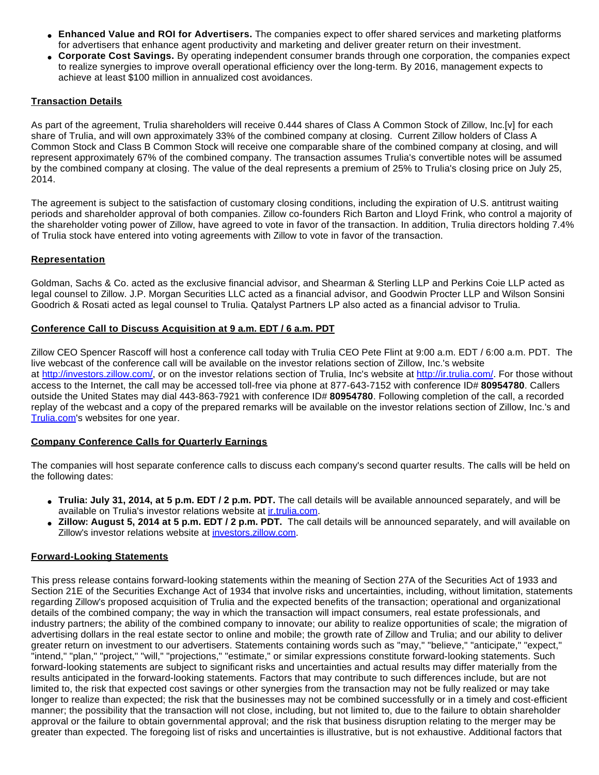- **Enhanced Value and ROI for Advertisers.** The companies expect to offer shared services and marketing platforms for advertisers that enhance agent productivity and marketing and deliver greater return on their investment.
- **Corporate Cost Savings.** By operating independent consumer brands through one corporation, the companies expect to realize synergies to improve overall operational efficiency over the long-term. By 2016, management expects to achieve at least \$100 million in annualized cost avoidances.

#### **Transaction Details**

As part of the agreement, Trulia shareholders will receive 0.444 shares of Class A Common Stock of Zillow, Inc.[v] for each share of Trulia, and will own approximately 33% of the combined company at closing. Current Zillow holders of Class A Common Stock and Class B Common Stock will receive one comparable share of the combined company at closing, and will represent approximately 67% of the combined company. The transaction assumes Trulia's convertible notes will be assumed by the combined company at closing. The value of the deal represents a premium of 25% to Trulia's closing price on July 25, 2014.

The agreement is subject to the satisfaction of customary closing conditions, including the expiration of U.S. antitrust waiting periods and shareholder approval of both companies. Zillow co-founders Rich Barton and Lloyd Frink, who control a majority of the shareholder voting power of Zillow, have agreed to vote in favor of the transaction. In addition, Trulia directors holding 7.4% of Trulia stock have entered into voting agreements with Zillow to vote in favor of the transaction.

# **Representation**

Goldman, Sachs & Co. acted as the exclusive financial advisor, and Shearman & Sterling LLP and Perkins Coie LLP acted as legal counsel to Zillow. J.P. Morgan Securities LLC acted as a financial advisor, and Goodwin Procter LLP and Wilson Sonsini Goodrich & Rosati acted as legal counsel to Trulia. Qatalyst Partners LP also acted as a financial advisor to Trulia.

# **Conference Call to Discuss Acquisition at 9 a.m. EDT / 6 a.m. PDT**

Zillow CEO Spencer Rascoff will host a conference call today with Trulia CEO Pete Flint at 9:00 a.m. EDT / 6:00 a.m. PDT. The live webcast of the conference call will be available on the investor relations section of Zillow, Inc.'s website at <http://investors.zillow.com/>, or on the investor relations section of Trulia, Inc's website at<http://ir.trulia.com/>. For those without access to the Internet, the call may be accessed toll-free via phone at 877-643-7152 with conference ID# **80954780**. Callers outside the United States may dial 443-863-7921 with conference ID# **80954780**. Following completion of the call, a recorded replay of the webcast and a copy of the prepared remarks will be available on the investor relations section of Zillow, Inc.'s and [Trulia.com](http://trulia.com/)'s websites for one year.

# **Company Conference Calls for Quarterly Earnings**

The companies will host separate conference calls to discuss each company's second quarter results. The calls will be held on the following dates:

- **Trulia: July 31, 2014, at 5 p.m. EDT / 2 p.m. PDT.** The call details will be available announced separately, and will be available on Trulia's investor relations website at *ir.trulia.com*.
- **Zillow: August 5, 2014 at 5 p.m. EDT / 2 p.m. PDT.** The call details will be announced separately, and will available on Zillow's investor relations website at [investors.zillow.com.](http://investors.zillow.com/)

#### **Forward-Looking Statements**

This press release contains forward-looking statements within the meaning of Section 27A of the Securities Act of 1933 and Section 21E of the Securities Exchange Act of 1934 that involve risks and uncertainties, including, without limitation, statements regarding Zillow's proposed acquisition of Trulia and the expected benefits of the transaction; operational and organizational details of the combined company; the way in which the transaction will impact consumers, real estate professionals, and industry partners; the ability of the combined company to innovate; our ability to realize opportunities of scale; the migration of advertising dollars in the real estate sector to online and mobile; the growth rate of Zillow and Trulia; and our ability to deliver greater return on investment to our advertisers. Statements containing words such as "may," "believe," "anticipate," "expect," "intend," "plan," "project," "will," "projections," "estimate," or similar expressions constitute forward-looking statements. Such forward-looking statements are subject to significant risks and uncertainties and actual results may differ materially from the results anticipated in the forward-looking statements. Factors that may contribute to such differences include, but are not limited to, the risk that expected cost savings or other synergies from the transaction may not be fully realized or may take longer to realize than expected; the risk that the businesses may not be combined successfully or in a timely and cost-efficient manner; the possibility that the transaction will not close, including, but not limited to, due to the failure to obtain shareholder approval or the failure to obtain governmental approval; and the risk that business disruption relating to the merger may be greater than expected. The foregoing list of risks and uncertainties is illustrative, but is not exhaustive. Additional factors that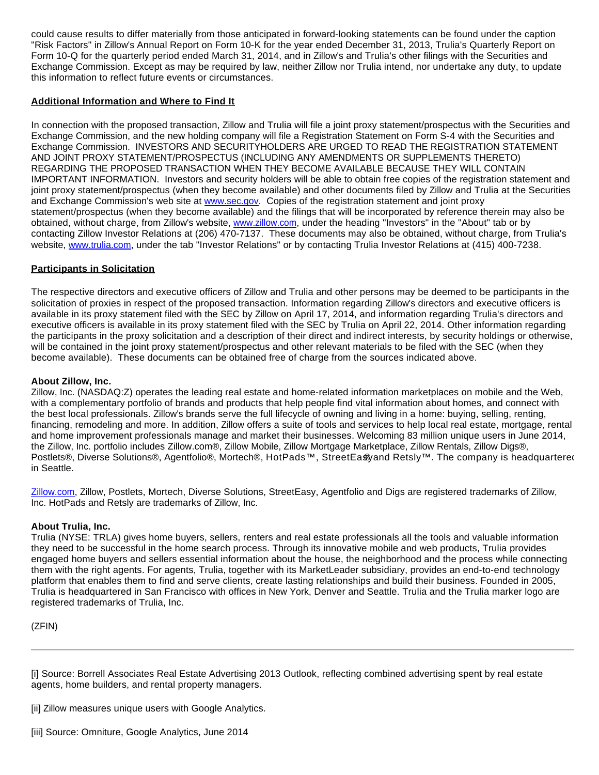could cause results to differ materially from those anticipated in forward-looking statements can be found under the caption "Risk Factors" in Zillow's Annual Report on Form 10-K for the year ended December 31, 2013, Trulia's Quarterly Report on Form 10-Q for the quarterly period ended March 31, 2014, and in Zillow's and Trulia's other filings with the Securities and Exchange Commission. Except as may be required by law, neither Zillow nor Trulia intend, nor undertake any duty, to update this information to reflect future events or circumstances.

#### **Additional Information and Where to Find It**

In connection with the proposed transaction, Zillow and Trulia will file a joint proxy statement/prospectus with the Securities and Exchange Commission, and the new holding company will file a Registration Statement on Form S-4 with the Securities and Exchange Commission. INVESTORS AND SECURITYHOLDERS ARE URGED TO READ THE REGISTRATION STATEMENT AND JOINT PROXY STATEMENT/PROSPECTUS (INCLUDING ANY AMENDMENTS OR SUPPLEMENTS THERETO) REGARDING THE PROPOSED TRANSACTION WHEN THEY BECOME AVAILABLE BECAUSE THEY WILL CONTAIN IMPORTANT INFORMATION. Investors and security holders will be able to obtain free copies of the registration statement and joint proxy statement/prospectus (when they become available) and other documents filed by Zillow and Trulia at the Securities and Exchange Commission's web site at [www.sec.gov](http://www.sec.gov/). Copies of the registration statement and joint proxy statement/prospectus (when they become available) and the filings that will be incorporated by reference therein may also be obtained, without charge, from Zillow's website, [www.zillow.com](http://www.zillow.com/), under the heading "Investors" in the "About" tab or by contacting Zillow Investor Relations at (206) 470-7137. These documents may also be obtained, without charge, from Trulia's website, [www.trulia.com,](http://www.trulia.com/) under the tab "Investor Relations" or by contacting Trulia Investor Relations at (415) 400-7238.

# **Participants in Solicitation**

The respective directors and executive officers of Zillow and Trulia and other persons may be deemed to be participants in the solicitation of proxies in respect of the proposed transaction. Information regarding Zillow's directors and executive officers is available in its proxy statement filed with the SEC by Zillow on April 17, 2014, and information regarding Trulia's directors and executive officers is available in its proxy statement filed with the SEC by Trulia on April 22, 2014. Other information regarding the participants in the proxy solicitation and a description of their direct and indirect interests, by security holdings or otherwise, will be contained in the joint proxy statement/prospectus and other relevant materials to be filed with the SEC (when they become available). These documents can be obtained free of charge from the sources indicated above.

#### **About Zillow, Inc.**

Zillow, Inc. (NASDAQ:Z) operates the leading real estate and home-related information marketplaces on mobile and the Web, with a complementary portfolio of brands and products that help people find vital information about homes, and connect with the best local professionals. Zillow's brands serve the full lifecycle of owning and living in a home: buying, selling, renting, financing, remodeling and more. In addition, Zillow offers a suite of tools and services to help local real estate, mortgage, rental and home improvement professionals manage and market their businesses. Welcoming 83 million unique users in June 2014, the Zillow, Inc. portfolio includes Zillow.com®, Zillow Mobile, Zillow Mortgage Marketplace, Zillow Rentals, Zillow Digs®, Postlets®, Diverse Solutions®, Agentfolio®, Mortech®, HotPads™, StreetEa® and Retsly™. The company is headquartered in Seattle.

[Zillow.com](http://zillow.com/), Zillow, Postlets, Mortech, Diverse Solutions, StreetEasy, Agentfolio and Digs are registered trademarks of Zillow, Inc. HotPads and Retsly are trademarks of Zillow, Inc.

#### **About Trulia, Inc.**

Trulia (NYSE: TRLA) gives home buyers, sellers, renters and real estate professionals all the tools and valuable information they need to be successful in the home search process. Through its innovative mobile and web products, Trulia provides engaged home buyers and sellers essential information about the house, the neighborhood and the process while connecting them with the right agents. For agents, Trulia, together with its MarketLeader subsidiary, provides an end-to-end technology platform that enables them to find and serve clients, create lasting relationships and build their business. Founded in 2005, Trulia is headquartered in San Francisco with offices in New York, Denver and Seattle. Trulia and the Trulia marker logo are registered trademarks of Trulia, Inc.

(ZFIN)

[i] Source: Borrell Associates Real Estate Advertising 2013 Outlook, reflecting combined advertising spent by real estate agents, home builders, and rental property managers.

[ii] Zillow measures unique users with Google Analytics.

<sup>[</sup>iii] Source: Omniture, Google Analytics, June 2014